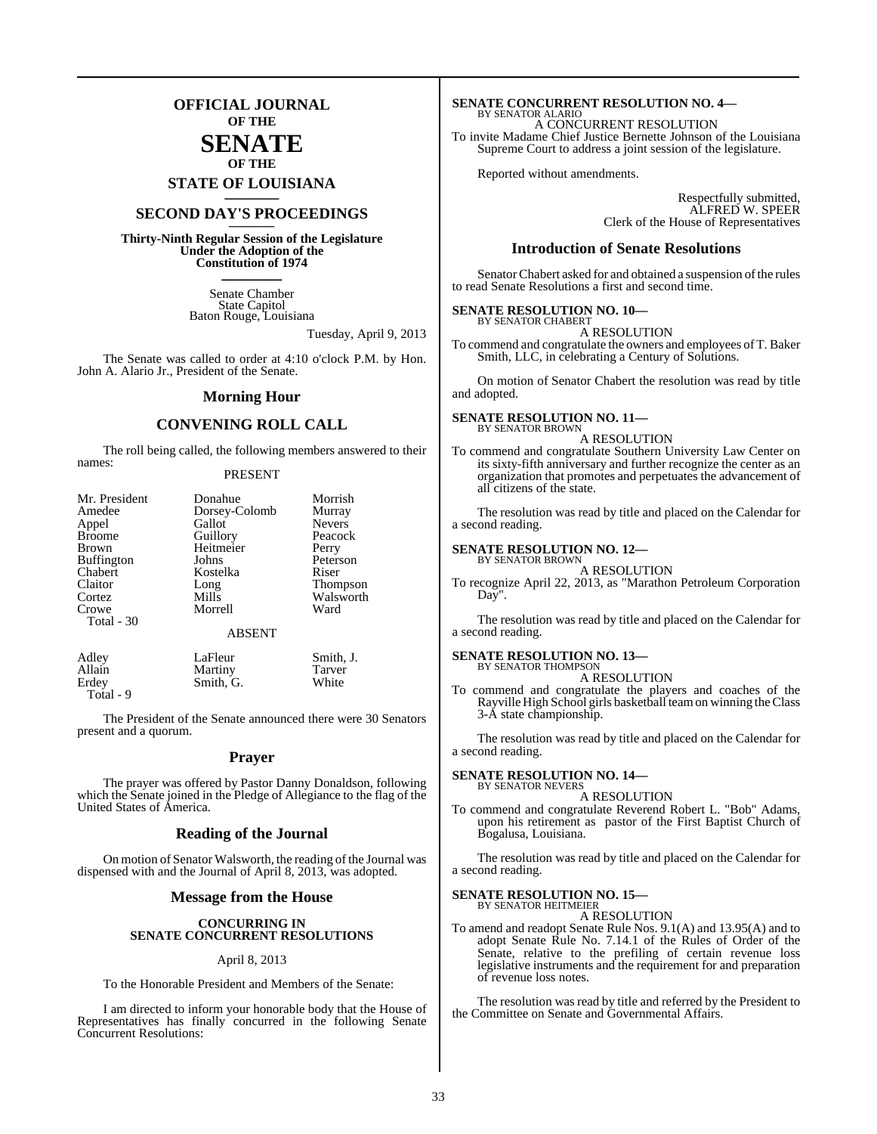### **OFFICIAL JOURNAL OF THE**

### **SENATE OF THE**

**STATE OF LOUISIANA \_\_\_\_\_\_\_**

### **SECOND DAY'S PROCEEDINGS \_\_\_\_\_\_\_**

**Thirty-Ninth Regular Session of the Legislature Under the Adoption of the Constitution of 1974 \_\_\_\_\_\_\_**

> Senate Chamber State Capitol Baton Rouge, Louisiana

> > Tuesday, April 9, 2013

The Senate was called to order at 4:10 o'clock P.M. by Hon. John A. Alario Jr., President of the Senate.

#### **Morning Hour**

#### **CONVENING ROLL CALL**

The roll being called, the following members answered to their names:

#### PRESENT

| Mr. President       | Donahue                  | Morrish       |
|---------------------|--------------------------|---------------|
| Amedee              | Dorsey-Colomb            | Murray        |
| Appel               | Gallot                   | <b>Nevers</b> |
| <b>Broome</b>       | Guillory                 | Peacock       |
| Brown               | Heitmeier                | Perry         |
| <b>Buffington</b>   | Johns                    | Peterson      |
| Chabert             | Kostelka                 | Riser         |
| Claitor             | Long                     | Thompson      |
| Cortez              | Mills                    | Walsworth     |
| Crowe<br>Total - 30 | Morrell<br><b>ABSENT</b> | Ward          |
| Adley               | LaFleur                  | Smith, J.     |
| Allain              | Martiny                  | <b>Tarver</b> |

Erdey Smith, G. White

Total - 9

The President of the Senate announced there were 30 Senators present and a quorum.

#### **Prayer**

The prayer was offered by Pastor Danny Donaldson, following which the Senate joined in the Pledge of Allegiance to the flag of the United States of America.

#### **Reading of the Journal**

On motion of Senator Walsworth, the reading of the Journal was dispensed with and the Journal of April 8, 2013, was adopted.

#### **Message from the House**

#### **CONCURRING IN SENATE CONCURRENT RESOLUTIONS**

#### April 8, 2013

To the Honorable President and Members of the Senate:

I am directed to inform your honorable body that the House of Representatives has finally concurred in the following Senate Concurrent Resolutions:

#### **SENATE CONCURRENT RESOLUTION NO. 4—** BY SENATOR ALARIO

A CONCURRENT RESOLUTION To invite Madame Chief Justice Bernette Johnson of the Louisiana Supreme Court to address a joint session of the legislature.

Reported without amendments.

Respectfully submitted, ALFRED W. SPEER Clerk of the House of Representatives

#### **Introduction of Senate Resolutions**

Senator Chabert asked for and obtained a suspension of the rules to read Senate Resolutions a first and second time.

#### **SENATE RESOLUTION NO. 10—** BY SENATOR CHABERT

A RESOLUTION

To commend and congratulate the owners and employees of T. Baker Smith, LLC, in celebrating a Century of Solutions.

On motion of Senator Chabert the resolution was read by title and adopted.

#### **SENATE RESOLUTION NO. 11—** BY SENATOR BROWN

A RESOLUTION

To commend and congratulate Southern University Law Center on its sixty-fifth anniversary and further recognize the center as an organization that promotes and perpetuates the advancement of all citizens of the state.

The resolution was read by title and placed on the Calendar for a second reading.

### **SENATE RESOLUTION NO. 12—** BY SENATOR BROWN

A RESOLUTION

To recognize April 22, 2013, as "Marathon Petroleum Corporation Day".

The resolution was read by title and placed on the Calendar for a second reading.

#### **SENATE RESOLUTION NO. 13—** BY SENATOR THOMPSON

A RESOLUTION

To commend and congratulate the players and coaches of the Rayville High School girls basketball teamon winning theClass 3-A state championship.

The resolution was read by title and placed on the Calendar for a second reading.

#### **SENATE RESOLUTION NO. 14—**

BY SENATOR NEVERS A RESOLUTION

To commend and congratulate Reverend Robert L. "Bob" Adams, upon his retirement as pastor of the First Baptist Church of Bogalusa, Louisiana.

The resolution was read by title and placed on the Calendar for a second reading.

#### **SENATE RESOLUTION NO. 15—** BY SENATOR HEITMEIER

A RESOLUTION

To amend and readopt Senate Rule Nos. 9.1(A) and 13.95(A) and to adopt Senate Rule No. 7.14.1 of the Rules of Order of the Senate, relative to the prefiling of certain revenue loss legislative instruments and the requirement for and preparation of revenue loss notes.

The resolution was read by title and referred by the President to the Committee on Senate and Governmental Affairs.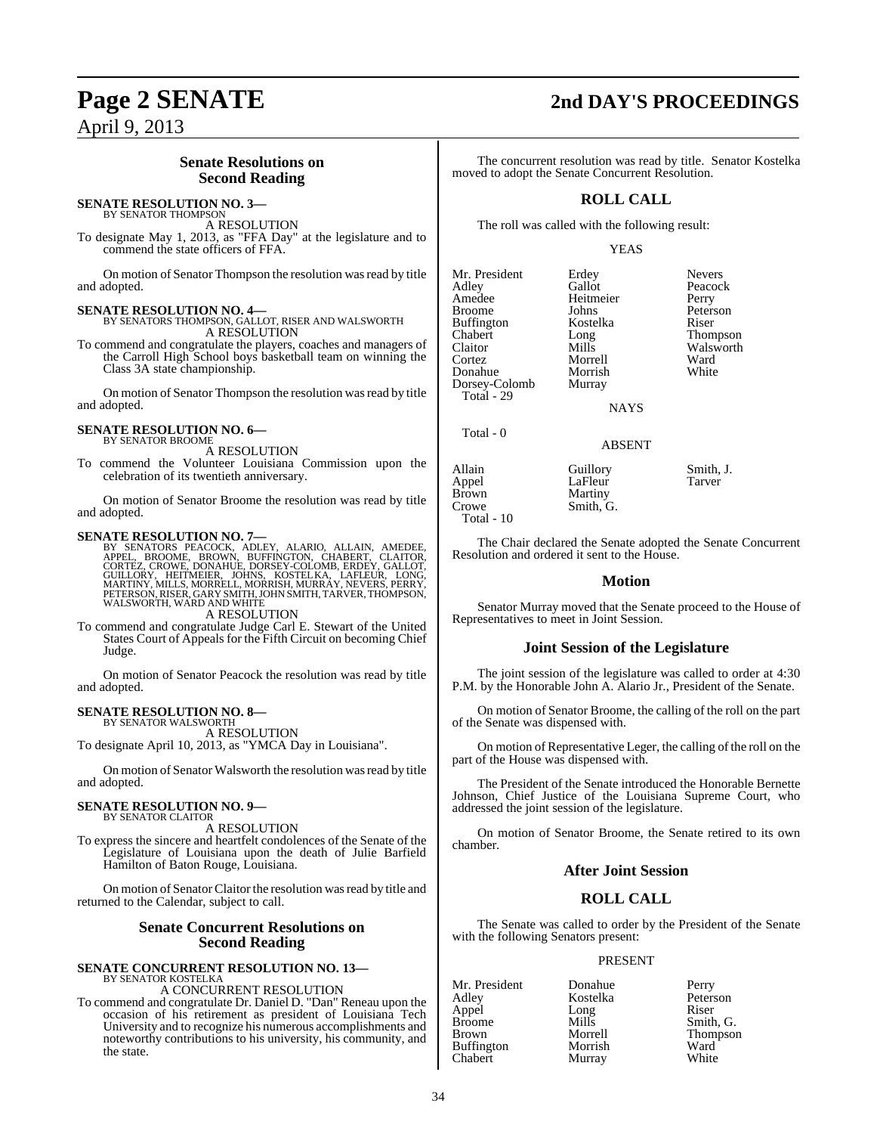### April 9, 2013

### **Senate Resolutions on Second Reading**

#### **SENATE RESOLUTION NO. 3—**

BY SENATOR THOMPSON A RESOLUTION

To designate May 1, 2013, as "FFA Day" at the legislature and to commend the state officers of FFA.

On motion of Senator Thompson the resolution was read by title and adopted.

**SENATE RESOLUTION NO. 4—** BY SENATORS THOMPSON, GALLOT, RISER AND WALSWORTH A RESOLUTION

To commend and congratulate the players, coaches and managers of the Carroll High School boys basketball team on winning the Class 3A state championship.

On motion of Senator Thompson the resolution was read by title and adopted.

#### **SENATE RESOLUTION NO. 6—** BY SENATOR BROOME

A RESOLUTION

To commend the Volunteer Louisiana Commission upon the celebration of its twentieth anniversary.

On motion of Senator Broome the resolution was read by title and adopted.

**SENATE RESOLUTION NO. 7—**<br>BY SENATORS PEACOCK, ADLEY, ALARIO, ALLAIN, AMEDEE, BROOME, BROWE, DROWE, DENETINGTON, CHABERT, CLAITOR,<br>CORTEZ, CROWE, DONAHUE, DORSEY-COLOMB, ERDEY, GALLOT,<br>GUILLORY, HEITMEIER, JOHNS, KOSTELKA

A RESOLUTION

To commend and congratulate Judge Carl E. Stewart of the United States Court of Appeals for the Fifth Circuit on becoming Chief Judge.

On motion of Senator Peacock the resolution was read by title and adopted.

#### **SENATE RESOLUTION NO. 8—**

BY SENATOR WALSWORTH A RESOLUTION

To designate April 10, 2013, as "YMCA Day in Louisiana".

On motion of Senator Walsworth the resolution wasread by title and adopted.

#### **SENATE RESOLUTION NO. 9—** BY SENATOR CLAITOR

A RESOLUTION

To express the sincere and heartfelt condolences of the Senate of the Legislature of Louisiana upon the death of Julie Barfield Hamilton of Baton Rouge, Louisiana.

On motion of Senator Claitor the resolution wasread by title and returned to the Calendar, subject to call.

#### **Senate Concurrent Resolutions on Second Reading**

## **SENATE CONCURRENT RESOLUTION NO. 13—** BY SENATOR KOSTELKA

A CONCURRENT RESOLUTION

To commend and congratulate Dr. Daniel D. "Dan" Reneau upon the occasion of his retirement as president of Louisiana Tech University and to recognize his numerous accomplishments and noteworthy contributions to his university, his community, and the state.

## **Page 2 SENATE 2nd DAY'S PROCEEDINGS**

The concurrent resolution was read by title. Senator Kostelka moved to adopt the Senate Concurrent Resolution.

### **ROLL CALL**

The roll was called with the following result:

#### YEAS

| Mr. President | Erdey     | <b>Nevers</b> |
|---------------|-----------|---------------|
| Adley         | Gallot    | Peacock       |
| Amedee        | Heitmeier | Perry         |
| <b>Broome</b> | Johns     | Peterson      |
| Buffington    | Kostelka  | Riser         |
| Chabert       | Long      | Thompson      |
| Claitor       | Mills     | Walsworth     |
| Cortez        | Morrell   | Ward          |
| Donahue       | Morrish   | White         |
| Dorsey-Colomb | Murray    |               |
| Total - 29    |           |               |
|               | NAYS      |               |
|               |           |               |

ABSENT

### Total - 0

Allain Guillory Smith, J.<br>
Appel LaFleur Tarver Appel LaFleur<br>Brown Martiny Brown Martiny<br>Crowe Smith, C Total - 10

The Chair declared the Senate adopted the Senate Concurrent Resolution and ordered it sent to the House.

Smith, G.

#### **Motion**

Senator Murray moved that the Senate proceed to the House of Representatives to meet in Joint Session.

#### **Joint Session of the Legislature**

The joint session of the legislature was called to order at 4:30 P.M. by the Honorable John A. Alario Jr., President of the Senate.

On motion of Senator Broome, the calling of the roll on the part of the Senate was dispensed with.

On motion of Representative Leger, the calling of the roll on the part of the House was dispensed with.

The President of the Senate introduced the Honorable Bernette Johnson, Chief Justice of the Louisiana Supreme Court, who addressed the joint session of the legislature.

On motion of Senator Broome, the Senate retired to its own chamber.

#### **After Joint Session**

#### **ROLL CALL**

The Senate was called to order by the President of the Senate with the following Senators present:

#### PRESENT

Appel Long<br>Broome Mills Broome Mills Smith, G.<br>Brown Morrell Thompson Buffington Morrish Ward<br>
Chabert Murray White Chabert

Mr. President Donahue Perry<br>Adley Kostelka Peterson Kostelka Peters<br>Long Riser Morrell Thompson<br>Morrish Ward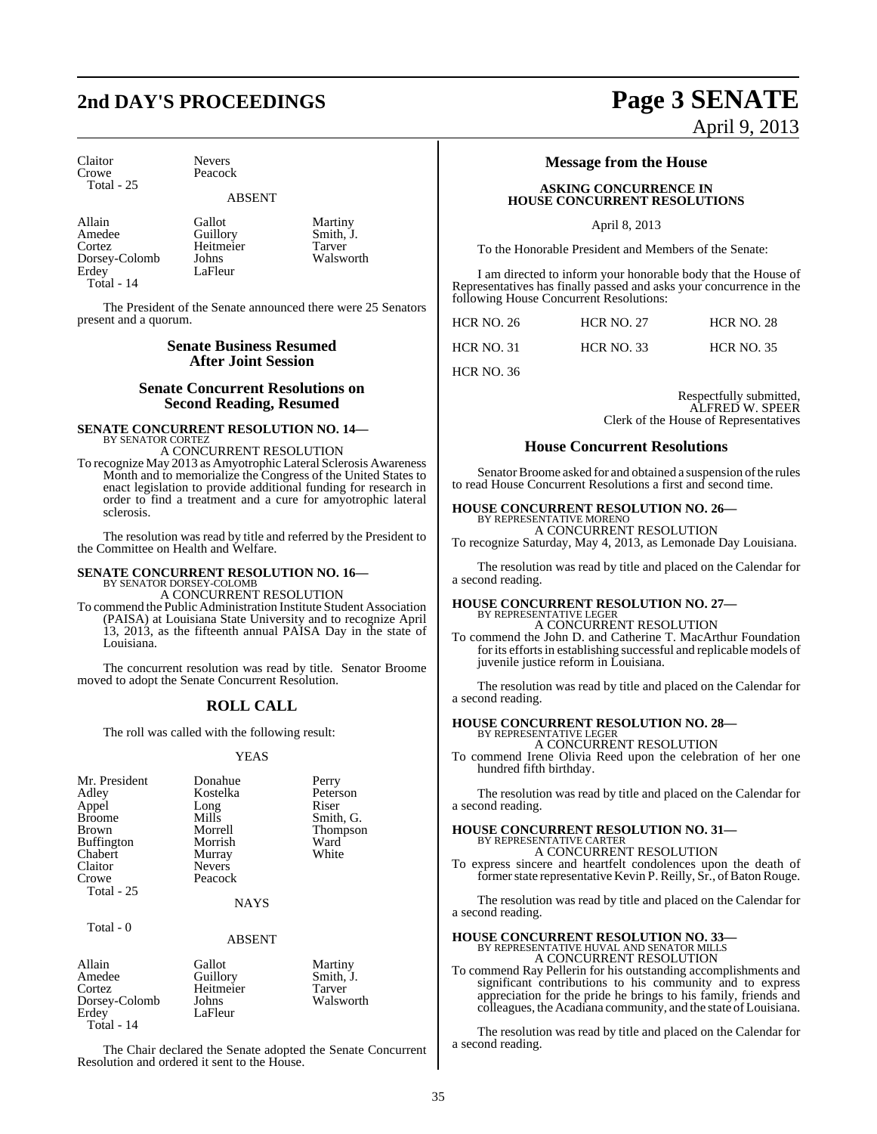## **2nd DAY'S PROCEEDINGS Page 3 SENATE**

Peacock

LaFleur

Claitor Nevers<br>Crowe Peacoc Total - 25

### ABSENT

Allain Gallot Martiny<br>Amedee Guillory Smith, J Amedee Guillory Smith, J.<br>
Cortez Heitmeier Tarver Dorsey-Colomb Johns<br>Erdey LaFlet Total - 14

Heitmeier Tarver<br>
Johns Walsworth

The President of the Senate announced there were 25 Senators present and a quorum.

#### **Senate Business Resumed After Joint Session**

#### **Senate Concurrent Resolutions on Second Reading, Resumed**

#### **SENATE CONCURRENT RESOLUTION NO. 14—** BY SENATOR CORTEZ A CONCURRENT RESOLUTION

To recognize May 2013 as Amyotrophic Lateral Sclerosis Awareness Month and to memorialize the Congress of the United States to enact legislation to provide additional funding for research in order to find a treatment and a cure for amyotrophic lateral sclerosis.

The resolution was read by title and referred by the President to the Committee on Health and Welfare.

#### **SENATE CONCURRENT RESOLUTION NO. 16—** BY SENATOR DORSEY-COLOMB A CONCURRENT RESOLUTION

To commend the PublicAdministration Institute Student Association (PAISA) at Louisiana State University and to recognize April 13, 2013, as the fifteenth annual PAISA Day in the state of Louisiana.

The concurrent resolution was read by title. Senator Broome moved to adopt the Senate Concurrent Resolution.

#### **ROLL CALL**

The roll was called with the following result:

#### YEAS

| Mr. President     | Donahue       | Perry     |
|-------------------|---------------|-----------|
| Adley             | Kostelka      | Peterson  |
| Appel             | Long          | Riser     |
| <b>Broome</b>     | Mills         | Smith, G. |
| <b>Brown</b>      | Morrell       | Thompson  |
| <b>Buffington</b> | Morrish       | Ward      |
| Chabert           | Murray        | White     |
| Claitor           | <b>Nevers</b> |           |
| Crowe             | Peacock       |           |
| Total - 25        |               |           |
|                   | <b>NAYS</b>   |           |
|                   |               |           |

#### ABSENT

| Allain<br>Amedee | Gallot                | Martiny<br>Smith, J. |
|------------------|-----------------------|----------------------|
| Cortez           | Guillory<br>Heitmeier | Tarver               |
| Dorsey-Colomb    | Johns                 | Walsworth            |
| Erdey            | LaFleur               |                      |
| $T = 11$         |                       |                      |

Total - 14

Total - 0

The Chair declared the Senate adopted the Senate Concurrent Resolution and ordered it sent to the House.

### **Message from the House**

#### **ASKING CONCURRENCE IN HOUSE CONCURRENT RESOLUTIONS**

April 8, 2013

To the Honorable President and Members of the Senate:

I am directed to inform your honorable body that the House of Representatives has finally passed and asks your concurrence in the following House Concurrent Resolutions:

| <b>HCR NO. 26</b> | <b>HCR NO. 27</b> | <b>HCR NO. 28</b> |
|-------------------|-------------------|-------------------|
| <b>HCR NO. 31</b> | <b>HCR NO. 33</b> | <b>HCR NO. 35</b> |

HCR NO. 36

Respectfully submitted, ALFRED W. SPEER Clerk of the House of Representatives

April 9, 2013

#### **House Concurrent Resolutions**

Senator Broome asked for and obtained a suspension of the rules to read House Concurrent Resolutions a first and second time.

#### **HOUSE CONCURRENT RESOLUTION NO. 26—**

BY REPRESENTATIVE MORENO A CONCURRENT RESOLUTION To recognize Saturday, May 4, 2013, as Lemonade Day Louisiana.

The resolution was read by title and placed on the Calendar for a second reading.

#### **HOUSE CONCURRENT RESOLUTION NO. 27—** BY REPRESENTATIVE LEGER

A CONCURRENT RESOLUTION To commend the John D. and Catherine T. MacArthur Foundation for its efforts in establishing successful and replicable models of juvenile justice reform in Louisiana.

The resolution was read by title and placed on the Calendar for a second reading.

### **HOUSE CONCURRENT RESOLUTION NO. 28—** BY REPRESENTATIVE LEGER

A CONCURRENT RESOLUTION

To commend Irene Olivia Reed upon the celebration of her one hundred fifth birthday.

The resolution was read by title and placed on the Calendar for a second reading.

## **HOUSE CONCURRENT RESOLUTION NO. 31—** BY REPRESENTATIVE CARTER

A CONCURRENT RESOLUTION

To express sincere and heartfelt condolences upon the death of former state representative Kevin P. Reilly, Sr., of Baton Rouge.

The resolution was read by title and placed on the Calendar for a second reading.

### **HOUSE CONCURRENT RESOLUTION NO. 33—** BY REPRESENTATIVE HUVAL AND SENATOR MILLS A CONCURRENT RESOLUTION

To commend Ray Pellerin for his outstanding accomplishments and significant contributions to his community and to express appreciation for the pride he brings to his family, friends and colleagues, the Acadiana community, and the state of Louisiana.

The resolution was read by title and placed on the Calendar for a second reading.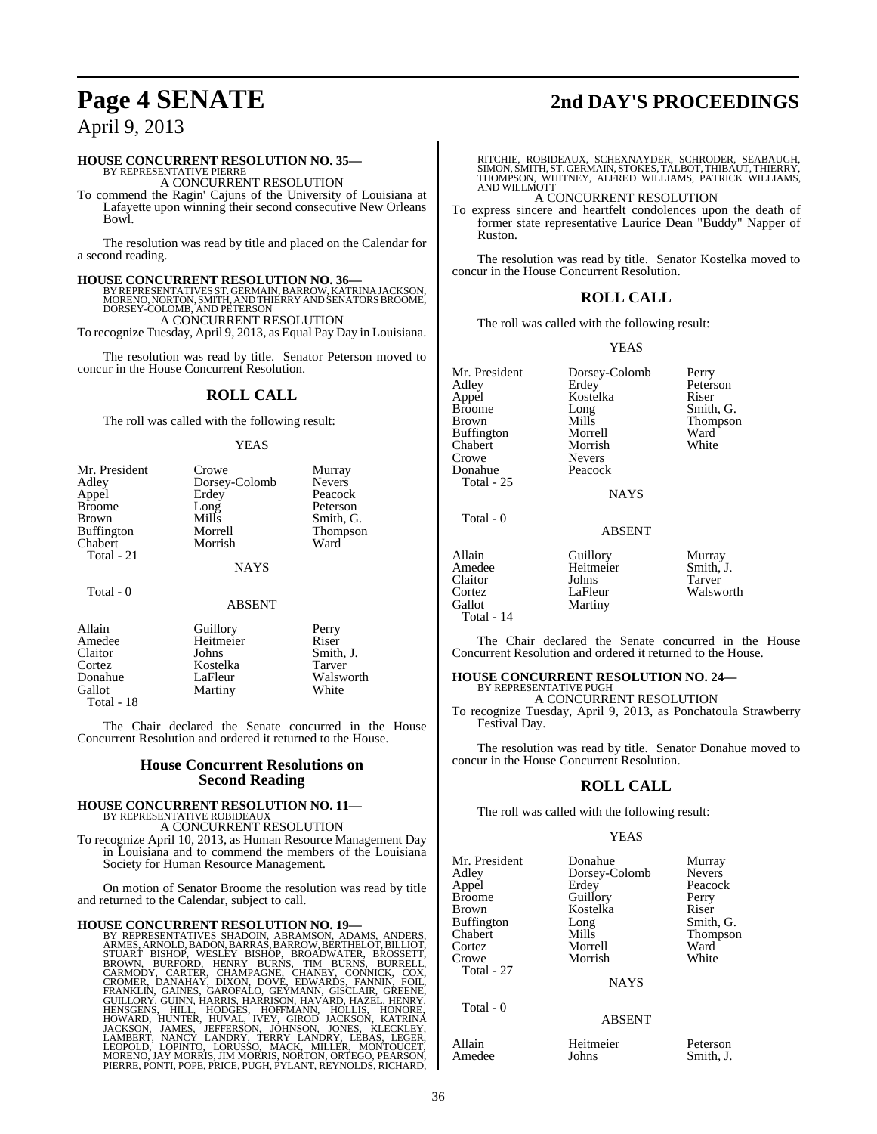## **Page 4 SENATE 2nd DAY'S PROCEEDINGS**

### April 9, 2013

#### **HOUSE CONCURRENT RESOLUTION NO. 35—**

BY REPRESENTATIVE PIERRE A CONCURRENT RESOLUTION

To commend the Ragin' Cajuns of the University of Louisiana at Lafayette upon winning their second consecutive New Orleans Bowl.

The resolution was read by title and placed on the Calendar for a second reading.

**HOUSE CONCURRENT RESOLUTION NO. 36—**<br>BY REPRESENTATIVES ST. GERMAIN, BARROW, KATRINA JACKSON,<br>MORENO, NORTON, SMITH, AND THIERRY AND SENATORS BROOME, DORSEY-COLOMB, AND PETERSON A CONCURRENT RESOLUTION

To recognize Tuesday, April 9, 2013, as Equal Pay Day in Louisiana.

The resolution was read by title. Senator Peterson moved to concur in the House Concurrent Resolution.

#### **ROLL CALL**

The roll was called with the following result:

#### YEAS

| Mr. President     | Crowe         | Murray        |
|-------------------|---------------|---------------|
| Adley             | Dorsey-Colomb | <b>Nevers</b> |
| Appel             | Erdey         | Peacock       |
| <b>Broome</b>     | Long          | Peterson      |
| <b>Brown</b>      | Mills         | Smith, G.     |
| <b>Buffington</b> | Morrell       | Thompson      |
| Chabert           | Morrish       | Ward          |
| Total - 21        |               |               |
|                   | <b>NAYS</b>   |               |
| Total - 0         |               |               |
|                   | <b>ABSENT</b> |               |

| Allain     | Guillory  | Perry     |
|------------|-----------|-----------|
| Amedee     | Heitmeier | Riser     |
| Claitor    | Johns     | Smith, J. |
| Cortez     | Kostelka  | Tarver    |
| Donahue    | LaFleur   | Walsworth |
| Gallot     | Martiny   | White     |
| Total - 18 |           |           |

The Chair declared the Senate concurred in the House Concurrent Resolution and ordered it returned to the House.

#### **House Concurrent Resolutions on Second Reading**

### **HOUSE CONCURRENT RESOLUTION NO. 11—** BY REPRESENTATIVE ROBIDEAUX

A CONCURRENT RESOLUTION

To recognize April 10, 2013, as Human Resource Management Day in Louisiana and to commend the members of the Louisiana Society for Human Resource Management.

On motion of Senator Broome the resolution was read by title and returned to the Calendar, subject to call.

HOUSE CONCURRENT RESOLUTION NO. 19—<br>BY REPRESENTATIVES SHADOIN, ABRAMSON, ADAMS, ANDERS, ARMES, ARNOLD, BADON, BARRAS, BARROW, BERTHELOT, BILLIOT, STUART BISHOP, WESLEY BISHOP, BROADWATER, BROSSETT, BROWN, BURFORD, HENRY B

RITCHIE, ROBIDEAUX, SCHEXNAYDER, SCHRODER, SEABAUGH,<br>SIMON,SMITH,ST. GERMAIN,STOKES,TALBOT,THIBAUT,THIERRY,<br>THOMPSON, WHITNEY, ALFRED WILLIAMS, PATRICK WILLIAMS,<br>AND WILLMOTT

#### A CONCURRENT RESOLUTION

To express sincere and heartfelt condolences upon the death of former state representative Laurice Dean "Buddy" Napper of Ruston.

The resolution was read by title. Senator Kostelka moved to concur in the House Concurrent Resolution.

#### **ROLL CALL**

The roll was called with the following result:

#### YEAS

Mr. President Dorsey-Colomb Perry<br>Adley Erdey Peters Adley Erdey Peterson Appel Kostelka<br>Broome Long Brown Mills Thompson<br>Buffington Morrell Ward Buffington Morrell Ward<br>
Chabert Morrish White Chabert Morrish<br>Crowe Nevers Donahue Total - 25 Total - 0

Nevers<br>Peacock

Long Smith, G.<br>Mills Thompson

## **NAYS**

ABSENT

| Allain<br>Amedee<br>Claitor    | Guillory<br>Heitmeier<br>Johns | Murray<br>Smith, J.<br><b>Tarver</b> |
|--------------------------------|--------------------------------|--------------------------------------|
| Cortez<br>Gallot<br>Total - 14 | LaFleur<br>Martiny             | Walsworth                            |
|                                |                                |                                      |

The Chair declared the Senate concurred in the House Concurrent Resolution and ordered it returned to the House.

#### **HOUSE CONCURRENT RESOLUTION NO. 24—** BY REPRESENTATIVE PUGH

A CONCURRENT RESOLUTION

To recognize Tuesday, April 9, 2013, as Ponchatoula Strawberry Festival Day.

The resolution was read by title. Senator Donahue moved to concur in the House Concurrent Resolution.

#### **ROLL CALL**

The roll was called with the following result:

#### YEAS

ABSENT

| Mr. President                 | Donahue                           | Murray        |
|-------------------------------|-----------------------------------|---------------|
| Adley                         | Dorsey-Colomb                     | <b>Nevers</b> |
| Appel                         | Erdey                             | Peacock       |
| Broome                        | Guillory                          | Perry         |
| Brown                         | Kostelka                          | Riser         |
| Cortez<br>Crowe<br>Total - 27 | Morrell<br>Morrish<br><b>NAYS</b> | Ward<br>White |

Total - 0

Allain Heitmeier Peterson Amedee Johns Smith, J.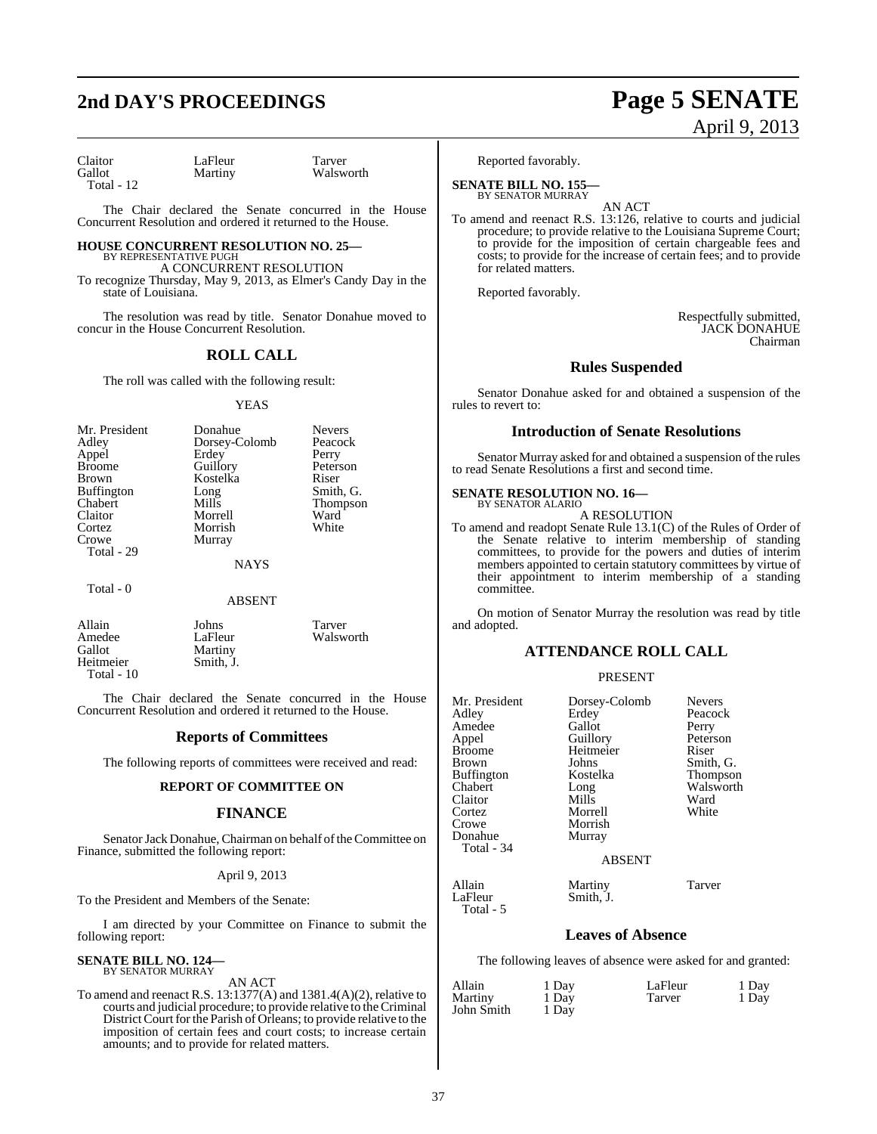## **2nd DAY'S PROCEEDINGS Page 5 SENATE**

# April 9, 2013

Claitor LaFleur Tarver<br>Gallot Martiny Walsw Total - 12

Total - 0

Walsworth

The Chair declared the Senate concurred in the House Concurrent Resolution and ordered it returned to the House.

#### **HOUSE CONCURRENT RESOLUTION NO. 25—** BY REPRESENTATIVE PUGH

A CONCURRENT RESOLUTION

To recognize Thursday, May 9, 2013, as Elmer's Candy Day in the state of Louisiana.

The resolution was read by title. Senator Donahue moved to concur in the House Concurrent Resolution.

### **ROLL CALL**

The roll was called with the following result:

#### YEAS

| Mr. President     | Donahue       | <b>Nevers</b> |
|-------------------|---------------|---------------|
| Adley             | Dorsey-Colomb | Peacock       |
| Appel             | Erdey         | Perry         |
| <b>Broome</b>     | Guillory      | Peterson      |
| <b>Brown</b>      | Kostelka      | Riser         |
| <b>Buffington</b> | Long          | Smith, G.     |
| Chabert           | Mills         | Thompson      |
| Claitor           | Morrell       | Ward          |
| Cortez            | Morrish       | White         |
| Crowe             | Murray        |               |
| Total - 29        |               |               |
|                   | <b>NAYS</b>   |               |

#### ABSENT

| Allain     | Johns     | Tarver    |
|------------|-----------|-----------|
| Amedee     | LaFleur   | Walsworth |
| Gallot     | Martiny   |           |
| Heitmeier  | Smith. J. |           |
| Total - 10 |           |           |

The Chair declared the Senate concurred in the House Concurrent Resolution and ordered it returned to the House.

#### **Reports of Committees**

The following reports of committees were received and read:

#### **REPORT OF COMMITTEE ON**

#### **FINANCE**

Senator Jack Donahue, Chairman on behalf of the Committee on Finance, submitted the following report:

#### April 9, 2013

To the President and Members of the Senate:

I am directed by your Committee on Finance to submit the following report:

### **SENATE BILL NO. 124—** BY SENATOR MURRAY

AN ACT

To amend and reenact R.S. 13:1377(A) and 1381.4(A)(2), relative to courts and judicial procedure; to provide relative to theCriminal District Court for the Parish of Orleans; to provide relative to the imposition of certain fees and court costs; to increase certain amounts; and to provide for related matters.

Reported favorably.

**SENATE BILL NO. 155—** BY SENATOR MURRAY

AN ACT To amend and reenact R.S. 13:126, relative to courts and judicial procedure; to provide relative to the Louisiana Supreme Court; to provide for the imposition of certain chargeable fees and costs; to provide for the increase of certain fees; and to provide for related matters.

Reported favorably.

Respectfully submitted, JACK DONAHUE Chairman

#### **Rules Suspended**

Senator Donahue asked for and obtained a suspension of the rules to revert to:

#### **Introduction of Senate Resolutions**

Senator Murray asked for and obtained a suspension of the rules to read Senate Resolutions a first and second time.

### **SENATE RESOLUTION NO. 16—**

BY SENATOR ALARIO A RESOLUTION

To amend and readopt Senate Rule 13.1(C) of the Rules of Order of the Senate relative to interim membership of standing committees, to provide for the powers and duties of interim members appointed to certain statutory committees by virtue of their appointment to interim membership of a standing committee.

On motion of Senator Murray the resolution was read by title and adopted.

#### **ATTENDANCE ROLL CALL**

#### PRESENT

| Mr. President<br>Adley<br>Amedee<br>Appel<br><b>Broome</b><br><b>Brown</b><br><b>Buffington</b><br>Chabert<br>Claitor<br>Cortez<br>Crowe<br>Donahue<br>Total - 34 | Dorsey-Colomb<br>Erdey<br>Gallot<br>Guillory<br>Heitmeier<br>Johns<br>Kostelka<br>Long<br>Mills<br>Morrell<br>Morrish<br>Murray | <b>Nevers</b><br>Peacock<br>Perry<br>Peterson<br>Riser<br>Smith, G.<br>Thompson<br>Walsworth<br>Ward<br>White |
|-------------------------------------------------------------------------------------------------------------------------------------------------------------------|---------------------------------------------------------------------------------------------------------------------------------|---------------------------------------------------------------------------------------------------------------|
|                                                                                                                                                                   | <b>ABSENT</b>                                                                                                                   |                                                                                                               |
| Allain<br>LaFleur<br>Total - 5                                                                                                                                    | Martiny<br>Smith, J.                                                                                                            | Tarver                                                                                                        |

#### **Leaves of Absence**

The following leaves of absence were asked for and granted:

| Allain     | 1 Day | LaFleur | 1 Day |
|------------|-------|---------|-------|
| Martiny    | 1 Day | Tarver  | 1 Day |
| John Smith | 1 Day |         |       |